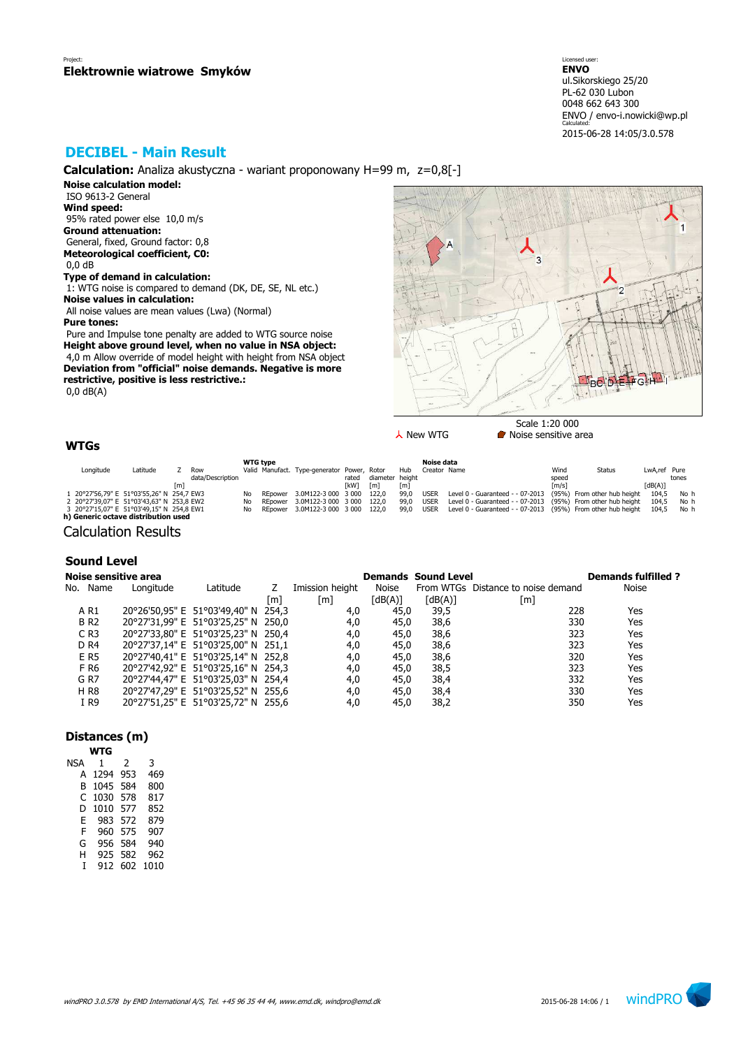# **DECIBEL - Main Result**

**Calculation:** Analiza akustyczna - wariant proponowany H=99 m, z=0,8[-]

**Noise calculation model:** ISO 9613-2 General

**Wind speed:** 95% rated power else 10,0 m/s **Ground attenuation:** General, fixed, Ground factor: 0,8 **Meteorological coefficient, C0:** 0,0 dB

# **Type of demand in calculation:**

 1: WTG noise is compared to demand (DK, DE, SE, NL etc.) **Noise values in calculation:** All noise values are mean values (Lwa) (Normal)

**Pure tones:**

 Pure and Impulse tone penalty are added to WTG source noise **Height above ground level, when no value in NSA object:** 4,0 m Allow override of model height with height from NSA object **Deviation from "official" noise demands. Negative is more restrictive, positive is less restrictive.:** 0,0 dB(A)

IRA

Scale 1:20 000  $\lambda$  New WTG **Noise sensitive area** 

# **WTGs**

|           |                                           |     |                  |     | <b>WTG type</b> |                                             |             |                 |                   | Noise data   |                                                                    |                     |                             |              |       |
|-----------|-------------------------------------------|-----|------------------|-----|-----------------|---------------------------------------------|-------------|-----------------|-------------------|--------------|--------------------------------------------------------------------|---------------------|-----------------------------|--------------|-------|
| Longitude | Latitude                                  |     | Row              |     |                 | Valid Manufact. Type-generator Power, Rotor |             |                 | Hub               | Creator Name |                                                                    | Wind                | Status                      | LwA.ref Pure |       |
|           |                                           |     | data/Description |     |                 |                                             | rated       | diameter height |                   |              |                                                                    | speed               |                             |              | tones |
|           |                                           | [m] |                  |     |                 |                                             | <b>TkW1</b> | [m]             | $\lceil m \rceil$ |              |                                                                    | $\lceil m/s \rceil$ |                             | [dB(A)]      |       |
|           | 1 20°27'56,79" E 51°03'55,26" N 254,7 EW3 |     |                  | No  |                 | REpower 3.0M122-3 000 3 000 122.0           |             |                 | 99.0              | <b>USER</b>  | Level 0 - Guaranteed - - 07-2013                                   |                     | (95%) From other hub height | 104.5        | No h  |
|           | 2 20°27'39,07" E 51°03'43,63" N 253,8 EW2 |     |                  | No  |                 | REpower 3.0M122-3 000 3 000 122.0           |             |                 | 99.0              | USER         | Level 0 - Guaranteed - - 07-2013 (95%) From other hub height       |                     |                             | 104.5        | No h  |
|           | 3 20°27'15,07" E 51°03'49,15" N 254,8 EW1 |     |                  | No. |                 | REpower 3.0M122-3 000 3 000 122.0           |             |                 | 99.0              | USER         | Level 0 - Guaranteed - - 07-2013 (95%) From other hub height 104.5 |                     |                             |              | No h  |
|           | h) Generic octave distribution used       |     |                  |     |                 |                                             |             |                 |                   |              |                                                                    |                     |                             |              |       |

Calculation Results

## **Sound Level**

|                    | Noise sensitive area |                                     |     |                 |         | <b>Demands Sound Level</b> |                                    | <b>Demands fulfilled?</b> |
|--------------------|----------------------|-------------------------------------|-----|-----------------|---------|----------------------------|------------------------------------|---------------------------|
| No. Name           | Longitude            | Latitude                            |     | Imission height | Noise   |                            | From WTGs Distance to noise demand | <b>Noise</b>              |
|                    |                      |                                     | [m] | [m]             | [dB(A)] | $\lceil dB(A) \rceil$      | [m]                                |                           |
| A R1               |                      | 20°26'50,95" E 51°03'49,40" N 254,3 |     | 4,0             | 45,0    | 39,5                       | 228                                | Yes                       |
| <b>BR2</b>         |                      | 20°27'31,99" E 51°03'25,25" N 250,0 |     | 4,0             | 45,0    | 38,6                       | 330                                | Yes                       |
| $C$ R <sub>3</sub> |                      | 20°27'33,80" E 51°03'25,23" N 250,4 |     | 4,0             | 45.0    | 38,6                       | 323                                | Yes                       |
| D <sub>R4</sub>    |                      | 20°27'37,14" E 51°03'25,00" N 251,1 |     | 4,0             | 45,0    | 38,6                       | 323                                | Yes                       |
| E R5               |                      | 20°27'40,41" E 51°03'25,14" N 252,8 |     | 4,0             | 45,0    | 38,6                       | 320                                | Yes                       |
| F R6               |                      | 20°27'42,92" E 51°03'25,16" N 254,3 |     | 4,0             | 45,0    | 38,5                       | 323                                | Yes                       |
| G R7               |                      | 20°27'44,47" E 51°03'25,03" N 254,4 |     | 4,0             | 45,0    | 38,4                       | 332                                | Yes                       |
| H R8               |                      | 20°27'47,29" E 51°03'25,52" N 255,6 |     | 4,0             | 45.0    | 38,4                       | 330                                | Yes                       |
| I R9               |                      | 20°27'51,25" E 51°03'25,72" N 255,6 |     | 4,0             | 45,0    | 38,2                       | 350                                | Yes                       |

### **Distances (m)**

| WTG  |     |      |
|------|-----|------|
| 1    | 2   | 3    |
| 1294 | 953 | 469  |
| 1045 | 584 | 800  |
| 1030 | 578 | 817  |
| 1010 | 577 | 852  |
| 983  | 572 | 879  |
| 960  | 575 | 907  |
| 956  | 584 | 940  |
| 925  | 582 | 962  |
| 912  | 602 | 1010 |
|      |     |      |

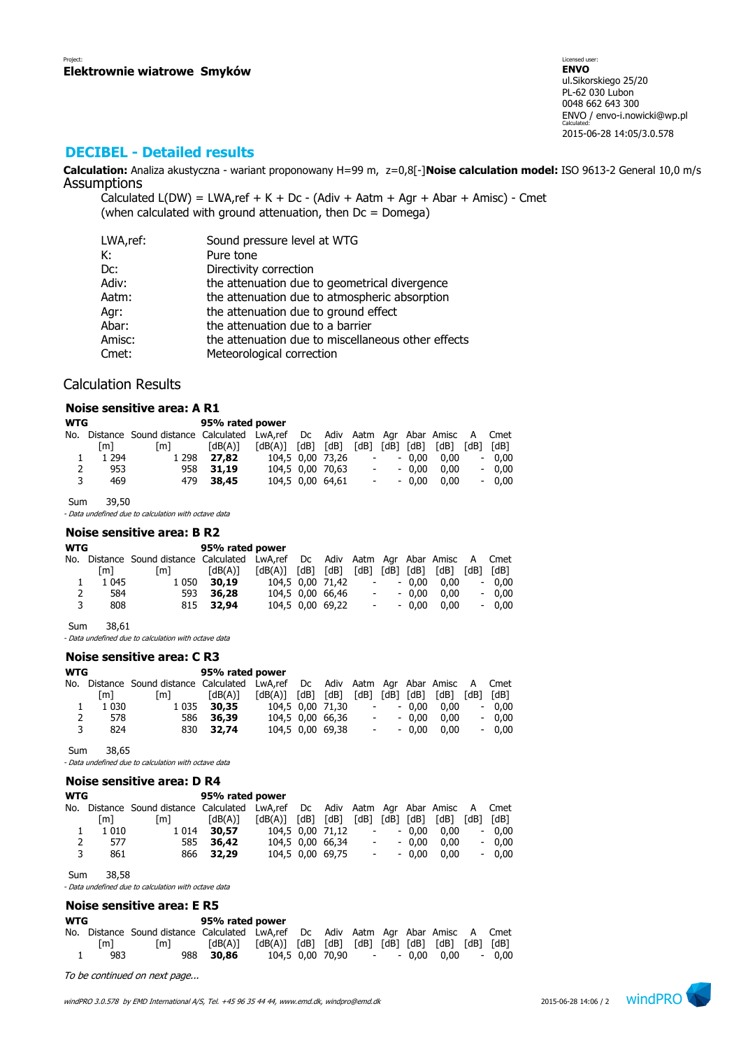## **DECIBEL - Detailed results**

**Calculation:** Analiza akustyczna - wariant proponowany H=99 m, z=0,8[-]**Noise calculation model:** ISO 9613-2 General 10,0 m/s Assumptions

Calculated  $L(DW) = LWA$ , ref + K + Dc - (Adiv + Aatm + Agr + Abar + Amisc) - Cmet (when calculated with ground attenuation, then  $Dc = D$ omega)

| LWA,ref: | Sound pressure level at WTG                        |
|----------|----------------------------------------------------|
| К:       | Pure tone                                          |
| Dc:      | Directivity correction                             |
| Adiv:    | the attenuation due to geometrical divergence      |
| Aatm:    | the attenuation due to atmospheric absorption      |
| Agr:     | the attenuation due to ground effect               |
| Abar:    | the attenuation due to a barrier                   |
| Amisc:   | the attenuation due to miscellaneous other effects |
| Cmet:    | Meteorological correction                          |

## Calculation Results

### **Noise sensitive area: A R1**

| <b>WTG</b> |         |                                                                                   | 95% rated power |                         |                  |                |            |         |      |      |         |
|------------|---------|-----------------------------------------------------------------------------------|-----------------|-------------------------|------------------|----------------|------------|---------|------|------|---------|
|            |         | No. Distance Sound distance Calculated LwA,ref Dc Adiv Aatm Agr Abar Amisc A Cmet |                 |                         |                  |                |            |         |      |      |         |
|            | [m]     | [m]                                                                               | [dB(A)]         | $[dB(A)]$ $[dB]$ $[dB]$ |                  | [dB] [dB] [dB] |            |         | [dB] | [dB] | [dB]    |
|            | 1 2 9 4 | 1 2 9 8                                                                           | 27.82           | 104.5 0.00 73.26        |                  |                | $\sim 100$ | $-0.00$ | 0.00 |      | $-0.00$ |
| 2          | 953     |                                                                                   | 958 31.19       |                         | 104.5 0.00 70.63 |                | $\sim 100$ | $-0.00$ | 0.00 |      | $-0.00$ |
| 3          | 469     |                                                                                   | 479 38.45       |                         | 104.5 0.00 64.61 |                | $\sim 100$ | $-0.00$ | 0.00 |      | $-0.00$ |

Sum 39,50

- Data undefined due to calculation with octave data

### **Noise sensitive area: B R2**

| <b>WTG</b> |         |                                                                                   | 95% rated power |                         |                  |                          |            |                |      |                          |           |
|------------|---------|-----------------------------------------------------------------------------------|-----------------|-------------------------|------------------|--------------------------|------------|----------------|------|--------------------------|-----------|
|            |         | No. Distance Sound distance Calculated LwA,ref Dc Adiv Aatm Agr Abar Amisc A Cmet |                 |                         |                  |                          |            |                |      |                          |           |
|            | [m]     | [m]                                                                               | [dB(A)]         | $[dB(A)]$ $[dB]$ $[dB]$ |                  |                          |            | [dB] [dB] [dB] | [dB] |                          | [dB] [dB] |
|            | 1 0 4 5 | 1 0 5 0                                                                           | 30,19           |                         | 104.5 0.00 71.42 | $\overline{\phantom{a}}$ |            | $-0.00$        | 0.00 |                          | $-0.00$   |
| 2          | 584     |                                                                                   | 593 36,28       |                         | 104.5 0.00 66.46 | $\sim$                   |            | $-0.00$        | 0.00 |                          | $-0.00$   |
| 3          | 808     |                                                                                   | 815 32.94       |                         | 104,5 0,00 69,22 |                          | $\sim 100$ | $-0.00$        | 0.00 | $\overline{\phantom{0}}$ | 0.00      |
|            |         |                                                                                   |                 |                         |                  |                          |            |                |      |                          |           |

Sum 38,61

- Data undefined due to calculation with octave data

## **Noise sensitive area: C R3**

| <b>WTG</b> |         |                                                                                   | 95% rated power |                         |                  |                          |            |         |      |                          |         |
|------------|---------|-----------------------------------------------------------------------------------|-----------------|-------------------------|------------------|--------------------------|------------|---------|------|--------------------------|---------|
|            |         | No. Distance Sound distance Calculated LwA,ref Dc Adiv Aatm Agr Abar Amisc A Cmet |                 |                         |                  |                          |            |         |      |                          |         |
|            | [m]     | [m]                                                                               | [dB(A)]         | $[dB(A)]$ $[dB]$ $[dB]$ |                  | $[dB]$ $[dB]$ $[dB]$     |            |         | [dB] | [dB]                     | [dB]    |
|            | 1 0 3 0 |                                                                                   | 1 0 35 30, 35   |                         | 104.5 0.00 71.30 |                          | $\sim 100$ | $-0.00$ | 0.00 | $\overline{\phantom{a}}$ | 0.00    |
| 2          | 578     |                                                                                   | 586 36.39       |                         | 104,5 0,00 66,36 | $\overline{\phantom{a}}$ |            | $-0.00$ | 0.00 |                          | $-0.00$ |
| 3          | 824     |                                                                                   | 830 32.74       |                         | 104,5 0,00 69,38 |                          | $\sim 100$ | $-0.00$ | 0.00 |                          | $-0.00$ |

Sum 38,65

- Data undefined due to calculation with octave data

|     |         | Noise sensitive area: D R4         |                 |                                       |      |                  |                          |      |         |      |      |         |
|-----|---------|------------------------------------|-----------------|---------------------------------------|------|------------------|--------------------------|------|---------|------|------|---------|
| WTG |         |                                    | 95% rated power |                                       |      |                  |                          |      |         |      |      |         |
| No. |         | Distance Sound distance Calculated |                 | LwA,ref Dc Adiv Aatm Agr Abar Amisc A |      |                  |                          |      |         |      |      | Cmet    |
|     | [m]     | [m]                                | [dB(A)]         | [dB(A)]                               | [dB] | [dB]             | [dB]                     | [dB] | [dB]    | [dB] | [dB] | [dB]    |
|     | 1 0 1 0 | 1 0 1 4                            | 30,57           |                                       |      | 104.5 0.00 71.12 |                          |      | $-0.00$ | 0.00 |      | $-0.00$ |
|     | 577     | 585                                | 36,42           |                                       |      | 104.5 0.00 66.34 | $\overline{\phantom{a}}$ |      | $-0.00$ | 0.00 |      | $-0.00$ |
|     | 861     | 866                                | 32,29           |                                       |      | 104,5 0,00 69,75 | $\overline{\phantom{a}}$ |      | $-0.00$ | 0.00 |      | $-0.00$ |

Sum 38,58

- Data undefined due to calculation with octave data

### **Noise sensitive area: E R5**

| WTG |     |                                                                                   | 95% rated power                                                                                                                                                                  |  |  |  |                                |         |
|-----|-----|-----------------------------------------------------------------------------------|----------------------------------------------------------------------------------------------------------------------------------------------------------------------------------|--|--|--|--------------------------------|---------|
|     |     | No. Distance Sound distance Calculated LwA,ref Dc Adiv Aatm Agr Abar Amisc A Cmet |                                                                                                                                                                                  |  |  |  |                                |         |
|     | [m] | Im1                                                                               | $\lceil dB(A) \rceil$ $\lceil dB(A) \rceil$ $\lceil dB \rceil$ $\lceil dB \rceil$ $\lceil dB \rceil$ $\lceil dB \rceil$ $\lceil dB \rceil$ $\lceil dB \rceil$ $\lceil dB \rceil$ |  |  |  |                                |         |
|     | 983 |                                                                                   | 988 30,86                                                                                                                                                                        |  |  |  | 104,5 0,00 70,90 - - 0,00 0.00 | $-0.00$ |

To be continued on next page...

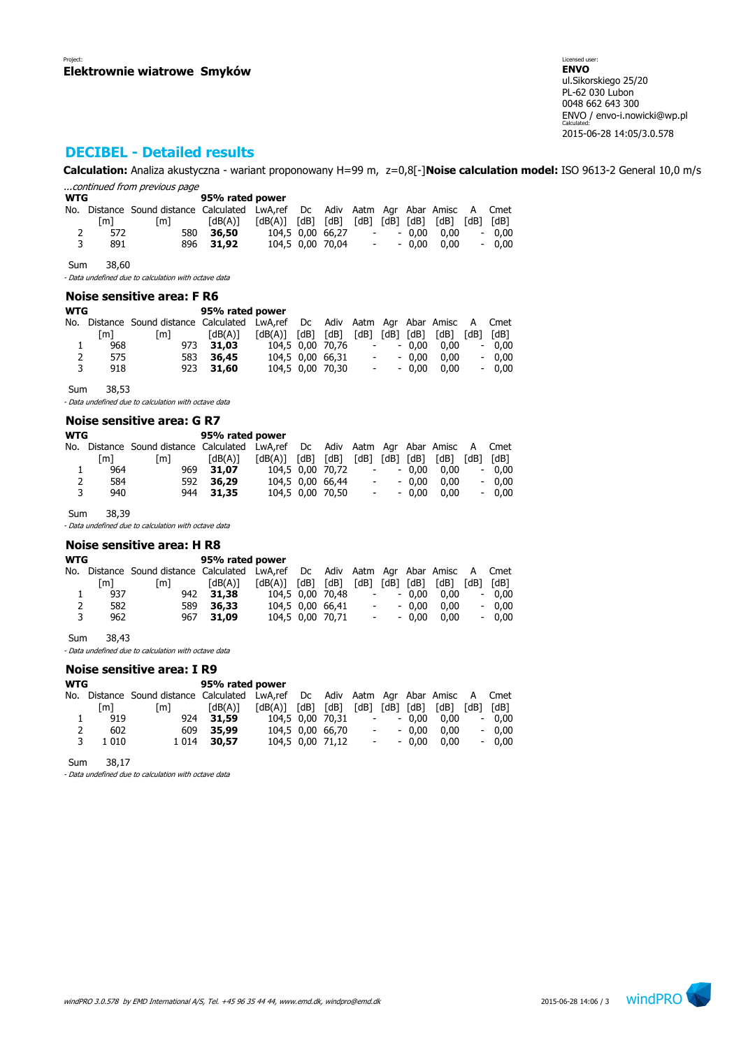# **DECIBEL - Detailed results**

**Calculation:** Analiza akustyczna - wariant proponowany H=99 m, z=0,8[-]**Noise calculation model:** ISO 9613-2 General 10,0 m/s ...continued from previous page

| <b>WTG</b> |     |                                                                                   | 95% rated power |                                                             |                  |                          |            |         |                             |                          |           |
|------------|-----|-----------------------------------------------------------------------------------|-----------------|-------------------------------------------------------------|------------------|--------------------------|------------|---------|-----------------------------|--------------------------|-----------|
|            |     | No. Distance Sound distance Calculated LwA,ref Dc Adiv Aatm Agr Abar Amisc A Cmet |                 |                                                             |                  |                          |            |         |                             |                          |           |
|            | [m] | [m]                                                                               | [dB(A)]         | $\lceil dB(A) \rceil$ $\lceil dB \rceil$ $\lceil dB \rceil$ |                  |                          |            |         | $[dB]$ $[dB]$ $[dB]$ $[dB]$ |                          | [dB] [dB] |
| 2          | 572 | 580                                                                               | 36,50           |                                                             | 104,5 0,00 66,27 | $\overline{\phantom{0}}$ |            | $-0.00$ | 0.00                        | $\overline{\phantom{a}}$ | 0.00      |
| 3          | 891 |                                                                                   | 896 31.92       |                                                             | 104.5 0.00 70.04 |                          | $\sim 100$ | $-0.00$ | 0.00                        |                          | $-0.00$   |

Sum 38,60

- Data undefined due to calculation with octave data

### **Noise sensitive area: F R6**

| WTG            |     |                                                                               | 95% rated power |                         |                  |                          |            |                |      |      |         |
|----------------|-----|-------------------------------------------------------------------------------|-----------------|-------------------------|------------------|--------------------------|------------|----------------|------|------|---------|
| No.            |     | Distance Sound distance Calculated LwA,ref Dc Adiv Aatm Agr Abar Amisc A Cmet |                 |                         |                  |                          |            |                |      |      |         |
|                | [m] | [m]                                                                           | [dB(A)]         | $[dB(A)]$ $[dB]$ $[dB]$ |                  |                          |            | [dB] [dB] [dB] | [dB] | [dB] | [dB]    |
| ı              | 968 |                                                                               | 973 31.03       |                         | 104.5 0.00 70.76 |                          | $\sim 100$ | $-0.00$        | 0.00 |      | $-0.00$ |
| $\overline{2}$ | 575 | 583                                                                           | 36,45           |                         | 104,5 0,00 66,31 | $\overline{\phantom{a}}$ |            | $-0.00$        | 0.00 |      | $-0.00$ |
| 3              | 918 |                                                                               | 923 31,60       |                         | 104,5 0,00 70,30 | $ \,$                    |            | $-0.00$        | 0.00 |      | $-0.00$ |
|                |     |                                                                               |                 |                         |                  |                          |            |                |      |      |         |

Sum 38,53

- Data undefined due to calculation with octave data

#### **Noise sensitive area: G R7**

| [m] | [m]        | [dB(A)] |                                     |                 |                         |                                                          |                                                                | [dB] | [dB]                                            | [dB]                                                                              |
|-----|------------|---------|-------------------------------------|-----------------|-------------------------|----------------------------------------------------------|----------------------------------------------------------------|------|-------------------------------------------------|-----------------------------------------------------------------------------------|
| 964 |            |         |                                     |                 |                         |                                                          |                                                                | 0.00 | $\overline{\phantom{a}}$                        | 0.00                                                                              |
| 584 |            |         |                                     |                 |                         |                                                          |                                                                | 0.00 | $\overline{\phantom{a}}$                        | 0.00                                                                              |
| 940 |            |         |                                     |                 |                         |                                                          |                                                                | 0.00 | $\overline{\phantom{0}}$                        | 0.00                                                                              |
|     | <b>WTG</b> |         | 969 31.07<br>592 36.29<br>944 31.35 | 95% rated power | $[dB(A)]$ $[dB]$ $[dB]$ | 104.5 0.00 70.72<br>104,5 0,00 66,44<br>104.5 0.00 70.50 | $\overline{\phantom{a}}$<br>$\overline{\phantom{a}}$<br>$\sim$ |      | [dB] [dB] [dB]<br>$-0.00$<br>$-0.00$<br>$-0.00$ | No. Distance Sound distance Calculated LwA,ref Dc Adiv Aatm Agr Abar Amisc A Cmet |

Sum 38,39

- Data undefined due to calculation with octave data

### **Noise sensitive area: H R8**

| WTG |     | 95% rated power                                                                   |           |                         |  |                  |                          |            |         |                             |      |         |
|-----|-----|-----------------------------------------------------------------------------------|-----------|-------------------------|--|------------------|--------------------------|------------|---------|-----------------------------|------|---------|
|     |     | No. Distance Sound-distance Calculated LwA,ref Dc Adiv Aatm Agr Abar Amisc A Cmet |           |                         |  |                  |                          |            |         |                             |      |         |
|     | [m] | [m]                                                                               | [dB(A)]   | $[dB(A)]$ $[dB]$ $[dB]$ |  |                  |                          |            |         | $[dB]$ $[dB]$ $[dB]$ $[dB]$ | [dB] | [dB]    |
|     | 937 |                                                                                   | 942 31.38 |                         |  | 104.5 0.00 70.48 | $\overline{\phantom{a}}$ |            | $-0.00$ | 0.00                        |      | $-0.00$ |
| 2   | 582 |                                                                                   | 589 36.33 |                         |  | 104.5 0.00 66.41 |                          | $\sim 100$ | $-0.00$ | 0.00                        |      | $-0.00$ |
| 3   | 962 |                                                                                   | 967 31.09 |                         |  | 104,5 0,00 70,71 |                          | $\sim 100$ | $-0.00$ | 0.00                        |      | $-0.00$ |
|     |     |                                                                                   |           |                         |  |                  |                          |            |         |                             |      |         |

Sum 38,43

- Data undefined due to calculation with octave data

#### **Noise sensitive area: I R9**

|         | 95% rated power |         |                                        |  |  |                         |                                                          |                                        |      |                               |                                                                                                                         |
|---------|-----------------|---------|----------------------------------------|--|--|-------------------------|----------------------------------------------------------|----------------------------------------|------|-------------------------------|-------------------------------------------------------------------------------------------------------------------------|
|         |                 |         |                                        |  |  |                         |                                                          |                                        |      |                               |                                                                                                                         |
| [m]     | [m]             | [dB(A)] |                                        |  |  |                         |                                                          |                                        |      |                               | [dB]                                                                                                                    |
| 919     |                 |         |                                        |  |  |                         |                                                          |                                        | 0.00 |                               | $-0.00$                                                                                                                 |
| 602     |                 |         |                                        |  |  |                         |                                                          |                                        | 0.00 |                               | $-0.00$                                                                                                                 |
| 1 0 1 0 |                 |         |                                        |  |  |                         |                                                          |                                        | 0.00 |                               | $-0.00$                                                                                                                 |
|         |                 |         | 924 31.59<br>609 35,99<br>1 0 14 30.57 |  |  | $[dB(A)]$ $[dB]$ $[dB]$ | 104,5 0,00 70,31<br>104,5 0,00 66,70<br>104,5 0,00 71,12 | $\sim 100$<br>$\sim 100$<br>$\sim 100$ |      | $-0.00$<br>$-0.00$<br>$-0.00$ | No. Distance Sound distance Calculated LwA,ref Dc Adiv Aatm Agr Abar Amisc A Cmet<br>$[dB]$ $[dB]$ $[dB]$ $[dB]$ $[dB]$ |

Sum 38,17

- Data undefined due to calculation with octave data

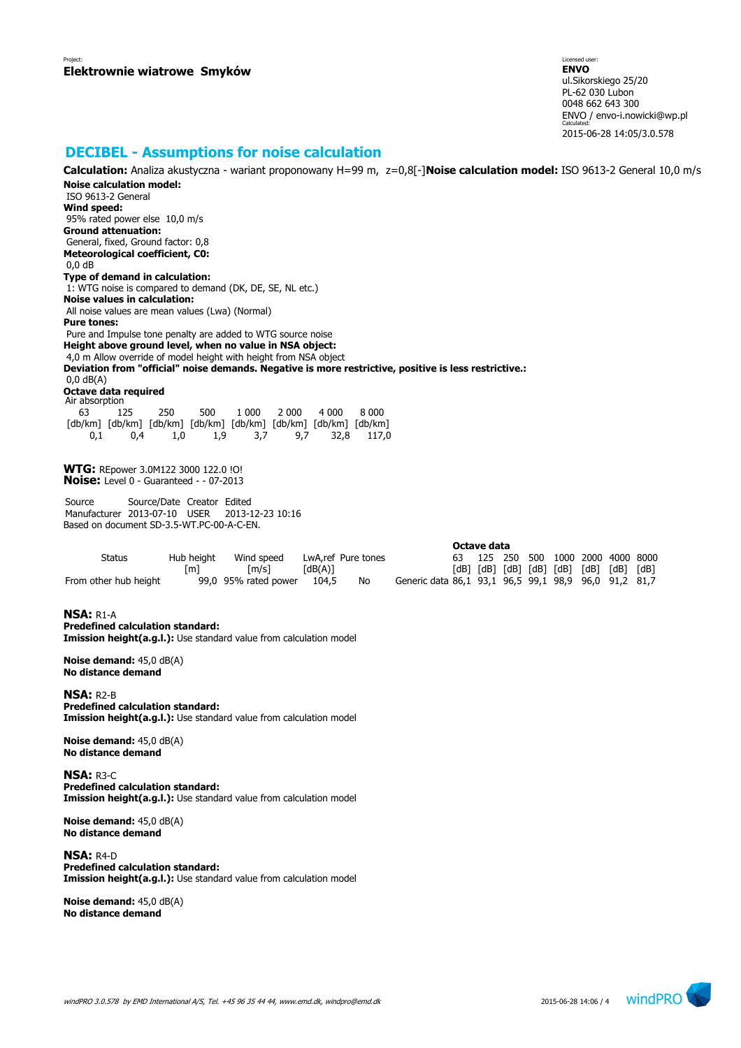## **DECIBEL - Assumptions for noise calculation**

**Calculation:** Analiza akustyczna - wariant proponowany H=99 m, z=0,8[-]**Noise calculation model:** ISO 9613-2 General 10,0 m/s **Noise calculation model:** ISO 9613-2 General **Wind speed:** 95% rated power else 10,0 m/s **Ground attenuation:** General, fixed, Ground factor: 0,8 **Meteorological coefficient, C0:** 0,0 dB **Type of demand in calculation:** 1: WTG noise is compared to demand (DK, DE, SE, NL etc.) **Noise values in calculation:** All noise values are mean values (Lwa) (Normal) **Pure tones:** Pure and Impulse tone penalty are added to WTG source noise **Height above ground level, when no value in NSA object:** 4,0 m Allow override of model height with height from NSA object **Deviation from "official" noise demands. Negative is more restrictive, positive is less restrictive.:** 0,0 dB(A) **Octave data required** Air absorption 63 125 250 500 1 000 2 000 4 000 8 000 [db/km] [db/km] [db/km] [db/km] [db/km] [db/km] [db/km] [db/km] 0,1 0,4 1,0 1,9 3,7 9,7 32,8 117,0 **WTG:** REpower 3.0M122 3000 122.0 !O! **Noise:** Level 0 - Guaranteed - - 07-2013 Source Source/Date Creator Edited Manufacturer 2013-07-10 USER 2013-12-23 10:16 Based on document SD-3.5-WT.PC-00-A-C-EN. **Octave data** Status Hub height Wind speed LwA,ref Pure tones 63 125 250 500 1000 2000 4000 8000 [m] [m/s] [dB(A)] [dB] [dB] [dB] [dB] [dB] [dB] [dB] [dB] From other hub height 99,0 95% rated power 104,5 No Generic data 86,1 93,1 96,5 99,1 98,9 96,0 91,2 81,7 **NSA:** R1-A **Predefined calculation standard: Imission height(a.g.l.):** Use standard value from calculation model **Noise demand:** 45,0 dB(A) **No distance demand**

**NSA:** R2-B **Predefined calculation standard: Imission height(a.g.l.):** Use standard value from calculation model

**Noise demand:** 45,0 dB(A) **No distance demand**

**NSA:** R3-C **Predefined calculation standard: Imission height(a.g.l.):** Use standard value from calculation model

**Noise demand:** 45,0 dB(A) **No distance demand**

**NSA:** R4-D **Predefined calculation standard: Imission height(a.g.l.):** Use standard value from calculation model

**Noise demand:** 45,0 dB(A) **No distance demand**